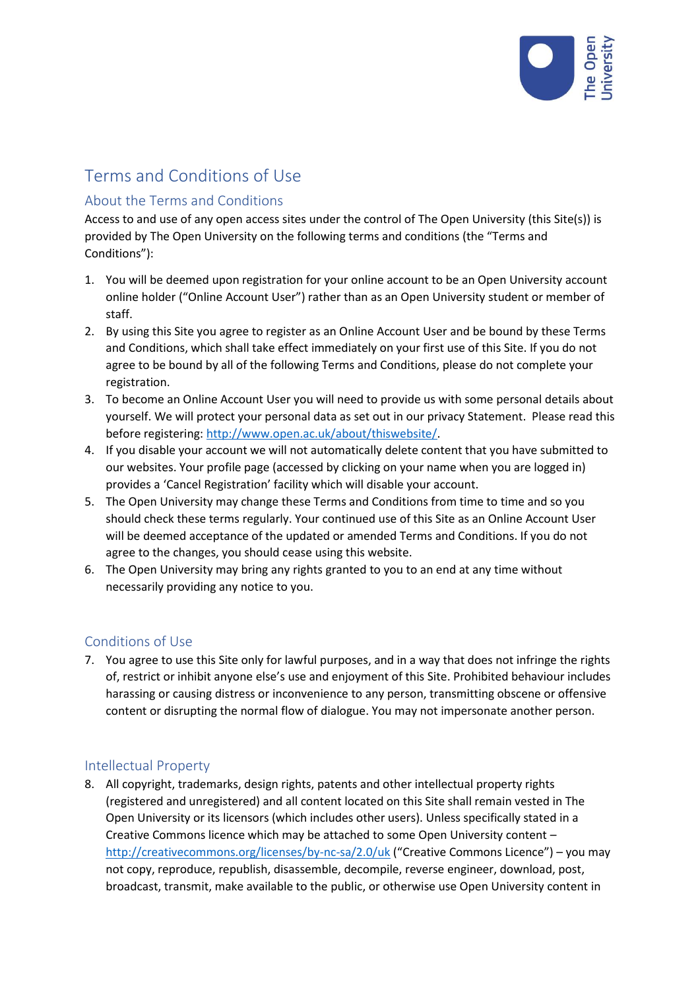

# Terms and Conditions of Use

# About the Terms and Conditions

Access to and use of any open access sites under the control of The Open University (this Site(s)) is provided by The Open University on the following terms and conditions (the "Terms and Conditions"):

- 1. You will be deemed upon registration for your online account to be an Open University account online holder ("Online Account User") rather than as an Open University student or member of staff.
- 2. By using this Site you agree to register as an Online Account User and be bound by these Terms and Conditions, which shall take effect immediately on your first use of this Site. If you do not agree to be bound by all of the following Terms and Conditions, please do not complete your registration.
- 3. To become an Online Account User you will need to provide us with some personal details about yourself. We will protect your personal data as set out in our privacy Statement. Please read this before registering[: http://www.open.ac.uk/about/thiswebsite/.](http://www.open.ac.uk/about/thiswebsite/)
- 4. If you disable your account we will not automatically delete content that you have submitted to our websites. Your profile page (accessed by clicking on your name when you are logged in) provides a 'Cancel Registration' facility which will disable your account.
- 5. The Open University may change these Terms and Conditions from time to time and so you should check these terms regularly. Your continued use of this Site as an Online Account User will be deemed acceptance of the updated or amended Terms and Conditions. If you do not agree to the changes, you should cease using this website.
- 6. The Open University may bring any rights granted to you to an end at any time without necessarily providing any notice to you.

# Conditions of Use

7. You agree to use this Site only for lawful purposes, and in a way that does not infringe the rights of, restrict or inhibit anyone else's use and enjoyment of this Site. Prohibited behaviour includes harassing or causing distress or inconvenience to any person, transmitting obscene or offensive content or disrupting the normal flow of dialogue. You may not impersonate another person.

## Intellectual Property

8. All copyright, trademarks, design rights, patents and other intellectual property rights (registered and unregistered) and all content located on this Site shall remain vested in The Open University or its licensors (which includes other users). Unless specifically stated in a Creative Commons licence which may be attached to some Open University content – <http://creativecommons.org/licenses/by-nc-sa/2.0/uk> ("Creative Commons Licence") – you may not copy, reproduce, republish, disassemble, decompile, reverse engineer, download, post, broadcast, transmit, make available to the public, or otherwise use Open University content in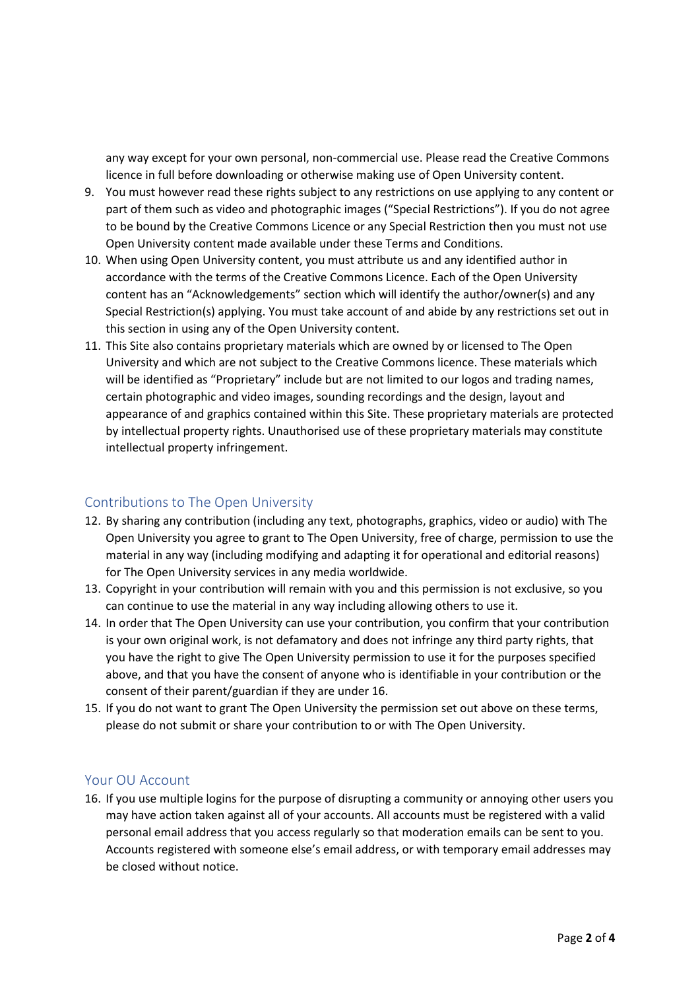any way except for your own personal, non-commercial use. Please read the Creative Commons licence in full before downloading or otherwise making use of Open University content.

- 9. You must however read these rights subject to any restrictions on use applying to any content or part of them such as video and photographic images ("Special Restrictions"). If you do not agree to be bound by the Creative Commons Licence or any Special Restriction then you must not use Open University content made available under these Terms and Conditions.
- 10. When using Open University content, you must attribute us and any identified author in accordance with the terms of the Creative Commons Licence. Each of the Open University content has an "Acknowledgements" section which will identify the author/owner(s) and any Special Restriction(s) applying. You must take account of and abide by any restrictions set out in this section in using any of the Open University content.
- 11. This Site also contains proprietary materials which are owned by or licensed to The Open University and which are not subject to the Creative Commons licence. These materials which will be identified as "Proprietary" include but are not limited to our logos and trading names, certain photographic and video images, sounding recordings and the design, layout and appearance of and graphics contained within this Site. These proprietary materials are protected by intellectual property rights. Unauthorised use of these proprietary materials may constitute intellectual property infringement.

## Contributions to The Open University

- 12. By sharing any contribution (including any text, photographs, graphics, video or audio) with The Open University you agree to grant to The Open University, free of charge, permission to use the material in any way (including modifying and adapting it for operational and editorial reasons) for The Open University services in any media worldwide.
- 13. Copyright in your contribution will remain with you and this permission is not exclusive, so you can continue to use the material in any way including allowing others to use it.
- 14. In order that The Open University can use your contribution, you confirm that your contribution is your own original work, is not defamatory and does not infringe any third party rights, that you have the right to give The Open University permission to use it for the purposes specified above, and that you have the consent of anyone who is identifiable in your contribution or the consent of their parent/guardian if they are under 16.
- 15. If you do not want to grant The Open University the permission set out above on these terms, please do not submit or share your contribution to or with The Open University.

#### Your OU Account

16. If you use multiple logins for the purpose of disrupting a community or annoying other users you may have action taken against all of your accounts. All accounts must be registered with a valid personal email address that you access regularly so that moderation emails can be sent to you. Accounts registered with someone else's email address, or with temporary email addresses may be closed without notice.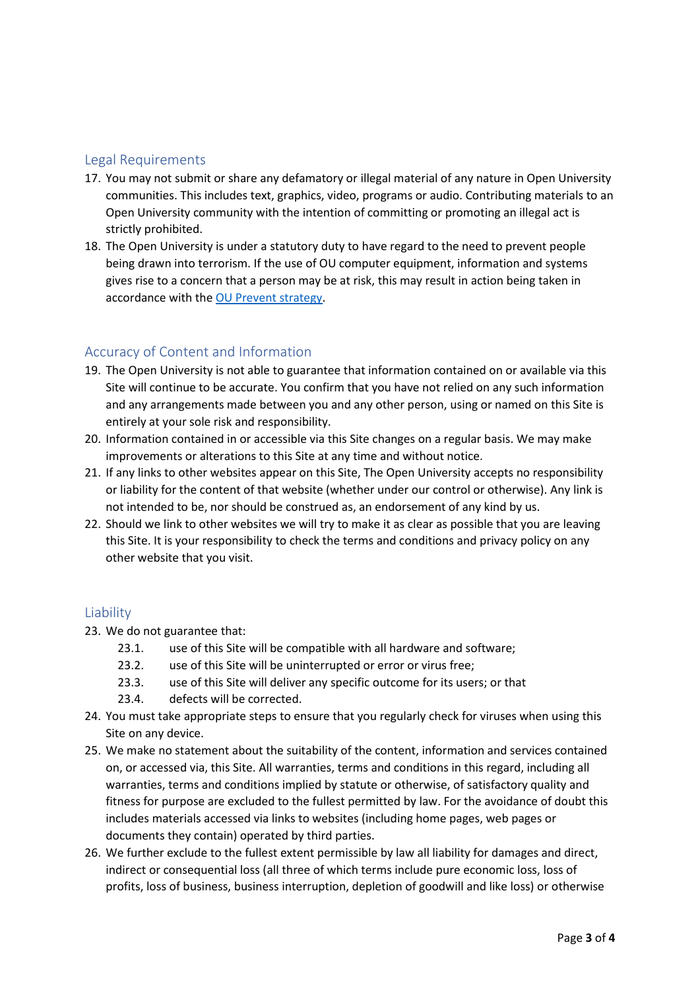#### Legal Requirements

- 17. You may not submit or share any defamatory or illegal material of any nature in Open University communities. This includes text, graphics, video, programs or audio. Contributing materials to an Open University community with the intention of committing or promoting an illegal act is strictly prohibited.
- 18. The Open University is under a statutory duty to have regard to the need to prevent people being drawn into terrorism. If the use of OU computer equipment, information and systems gives rise to a concern that a person may be at risk, this may result in action being taken in accordance with th[e OU Prevent strategy.](http://www.open.ac.uk/about/main/strategy-and-policies/policies-and-statements/prevent-counter-terrorism-duty)

#### Accuracy of Content and Information

- 19. The Open University is not able to guarantee that information contained on or available via this Site will continue to be accurate. You confirm that you have not relied on any such information and any arrangements made between you and any other person, using or named on this Site is entirely at your sole risk and responsibility.
- 20. Information contained in or accessible via this Site changes on a regular basis. We may make improvements or alterations to this Site at any time and without notice.
- 21. If any links to other websites appear on this Site, The Open University accepts no responsibility or liability for the content of that website (whether under our control or otherwise). Any link is not intended to be, nor should be construed as, an endorsement of any kind by us.
- 22. Should we link to other websites we will try to make it as clear as possible that you are leaving this Site. It is your responsibility to check the terms and conditions and privacy policy on any other website that you visit.

#### Liability

- 23. We do not guarantee that:
	- 23.1. use of this Site will be compatible with all hardware and software;
	- 23.2. use of this Site will be uninterrupted or error or virus free;
	- 23.3. use of this Site will deliver any specific outcome for its users; or that
	- 23.4. defects will be corrected.
- 24. You must take appropriate steps to ensure that you regularly check for viruses when using this Site on any device.
- 25. We make no statement about the suitability of the content, information and services contained on, or accessed via, this Site. All warranties, terms and conditions in this regard, including all warranties, terms and conditions implied by statute or otherwise, of satisfactory quality and fitness for purpose are excluded to the fullest permitted by law. For the avoidance of doubt this includes materials accessed via links to websites (including home pages, web pages or documents they contain) operated by third parties.
- 26. We further exclude to the fullest extent permissible by law all liability for damages and direct, indirect or consequential loss (all three of which terms include pure economic loss, loss of profits, loss of business, business interruption, depletion of goodwill and like loss) or otherwise